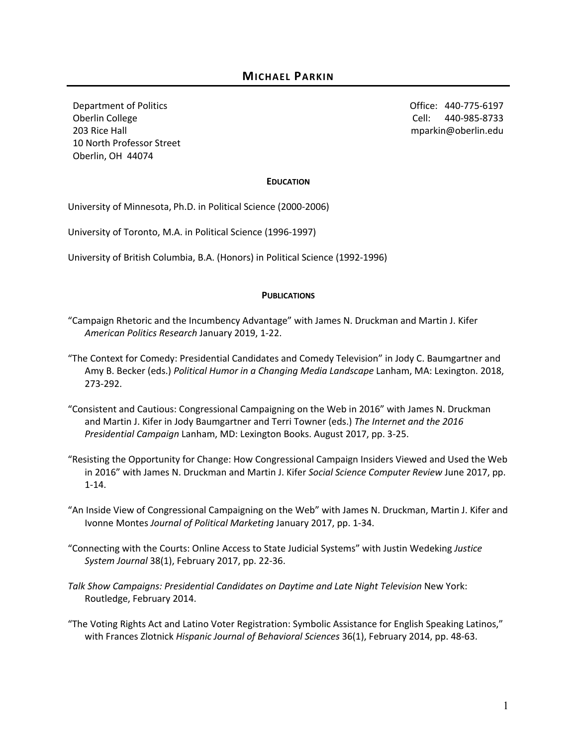Department of Politics Oberlin College 203 Rice Hall 10 North Professor Street Oberlin, OH 44074

Office: 440-775-6197 Cell: 440-985-8733 mparkin@oberlin.edu

#### **EDUCATION**

University of Minnesota, Ph.D. in Political Science (2000-2006)

University of Toronto, M.A. in Political Science (1996-1997)

University of British Columbia, B.A. (Honors) in Political Science (1992-1996)

#### **PUBLICATIONS**

- "Campaign Rhetoric and the Incumbency Advantage" with James N. Druckman and Martin J. Kifer *American Politics Research* January 2019, 1-22.
- "The Context for Comedy: Presidential Candidates and Comedy Television" in Jody C. Baumgartner and Amy B. Becker (eds.) *Political Humor in a Changing Media Landscape* Lanham, MA: Lexington. 2018, 273-292.
- "Consistent and Cautious: Congressional Campaigning on the Web in 2016" with James N. Druckman and Martin J. Kifer in Jody Baumgartner and Terri Towner (eds.) *The Internet and the 2016 Presidential Campaign* Lanham, MD: Lexington Books. August 2017, pp. 3-25.
- "Resisting the Opportunity for Change: How Congressional Campaign Insiders Viewed and Used the Web in 2016" with James N. Druckman and Martin J. Kifer *Social Science Computer Review* June 2017, pp. 1-14.
- "An Inside View of Congressional Campaigning on the Web" with James N. Druckman, Martin J. Kifer and Ivonne Montes *Journal of Political Marketing* January 2017, pp. 1-34.
- "Connecting with the Courts: Online Access to State Judicial Systems" with Justin Wedeking *Justice System Journal* 38(1), February 2017, pp. 22-36.
- Talk Show Campaigns: Presidential Candidates on Daytime and Late Night Television New York: Routledge, February 2014.
- "The Voting Rights Act and Latino Voter Registration: Symbolic Assistance for English Speaking Latinos," with Frances Zlotnick *Hispanic Journal of Behavioral Sciences* 36(1), February 2014, pp. 48-63.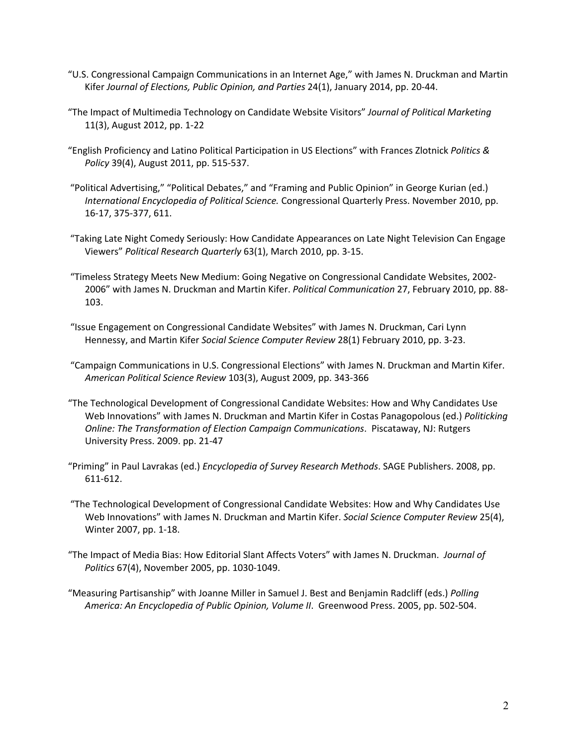- "U.S. Congressional Campaign Communications in an Internet Age," with James N. Druckman and Martin Kifer *Journal of Elections, Public Opinion, and Parties* 24(1), January 2014, pp. 20-44.
- "The Impact of Multimedia Technology on Candidate Website Visitors" *Journal of Political Marketing*  11(3), August 2012, pp. 1-22
- "English Proficiency and Latino Political Participation in US Elections" with Frances Zlotnick *Politics & Policy* 39(4), August 2011, pp. 515-537.
- "Political Advertising," "Political Debates," and "Framing and Public Opinion" in George Kurian (ed.) *International Encyclopedia of Political Science.* Congressional Quarterly Press. November 2010, pp. 16-17, 375-377, 611.
- "Taking Late Night Comedy Seriously: How Candidate Appearances on Late Night Television Can Engage Viewers" *Political Research Quarterly* 63(1), March 2010, pp. 3-15.
- "Timeless Strategy Meets New Medium: Going Negative on Congressional Candidate Websites, 2002- 2006" with James N. Druckman and Martin Kifer. *Political Communication* 27, February 2010, pp. 88- 103.
- "Issue Engagement on Congressional Candidate Websites" with James N. Druckman, Cari Lynn Hennessy, and Martin Kifer *Social Science Computer Review* 28(1) February 2010, pp. 3-23.
- "Campaign Communications in U.S. Congressional Elections" with James N. Druckman and Martin Kifer. *American Political Science Review* 103(3), August 2009, pp. 343-366
- "The Technological Development of Congressional Candidate Websites: How and Why Candidates Use Web Innovations" with James N. Druckman and Martin Kifer in Costas Panagopolous (ed.) *Politicking Online: The Transformation of Election Campaign Communications*. Piscataway, NJ: Rutgers University Press. 2009. pp. 21-47
- "Priming" in Paul Lavrakas (ed.) *Encyclopedia of Survey Research Methods*. SAGE Publishers. 2008, pp. 611-612.
- "The Technological Development of Congressional Candidate Websites: How and Why Candidates Use Web Innovations" with James N. Druckman and Martin Kifer. *Social Science Computer Review* 25(4), Winter 2007, pp. 1-18.
- "The Impact of Media Bias: How Editorial Slant Affects Voters" with James N. Druckman. *Journal of Politics* 67(4), November 2005, pp. 1030-1049.
- "Measuring Partisanship" with Joanne Miller in Samuel J. Best and Benjamin Radcliff (eds.) *Polling America: An Encyclopedia of Public Opinion, Volume II*. Greenwood Press. 2005, pp. 502-504.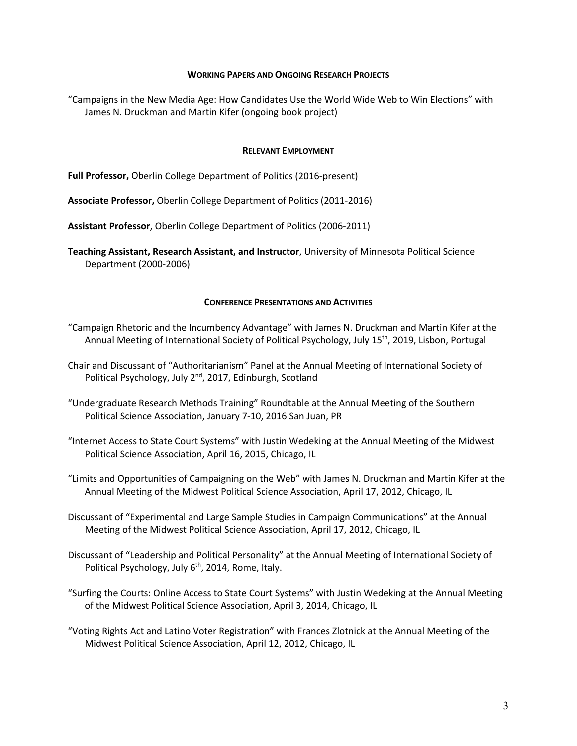#### **WORKING PAPERS AND ONGOING RESEARCH PROJECTS**

 James N. Druckman and Martin Kifer (ongoing book project) "Campaigns in the New Media Age: How Candidates Use the World Wide Web to Win Elections" with

#### **RELEVANT EMPLOYMENT**

**Full Professor,** Oberlin College Department of Politics (2016-present)

**Associate Professor,** Oberlin College Department of Politics (2011-2016)

**Assistant Professor**, Oberlin College Department of Politics (2006-2011)

**Teaching Assistant, Research Assistant, and Instructor**, University of Minnesota Political Science Department (2000-2006)

### **CONFERENCE PRESENTATIONS AND ACTIVITIES**

- "Campaign Rhetoric and the Incumbency Advantage" with James N. Druckman and Martin Kifer at the Annual Meeting of International Society of Political Psychology, July 15<sup>th</sup>, 2019, Lisbon, Portugal
- Chair and Discussant of "Authoritarianism" Panel at the Annual Meeting of International Society of Political Psychology, July 2<sup>nd</sup>, 2017, Edinburgh, Scotland
- "Undergraduate Research Methods Training" Roundtable at the Annual Meeting of the Southern Political Science Association, January 7-10, 2016 San Juan, PR
- "Internet Access to State Court Systems" with Justin Wedeking at the Annual Meeting of the Midwest Political Science Association, April 16, 2015, Chicago, IL
- "Limits and Opportunities of Campaigning on the Web" with James N. Druckman and Martin Kifer at the Annual Meeting of the Midwest Political Science Association, April 17, 2012, Chicago, IL
- Discussant of "Experimental and Large Sample Studies in Campaign Communications" at the Annual Meeting of the Midwest Political Science Association, April 17, 2012, Chicago, IL
- Discussant of "Leadership and Political Personality" at the Annual Meeting of International Society of Political Psychology, July  $6<sup>th</sup>$ , 2014, Rome, Italy.
- "Surfing the Courts: Online Access to State Court Systems" with Justin Wedeking at the Annual Meeting of the Midwest Political Science Association, April 3, 2014, Chicago, IL
- "Voting Rights Act and Latino Voter Registration" with Frances Zlotnick at the Annual Meeting of the Midwest Political Science Association, April 12, 2012, Chicago, IL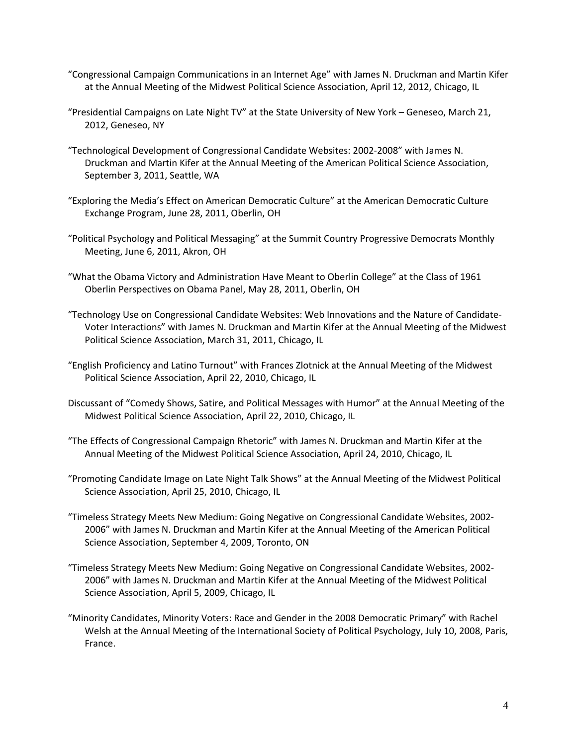- "Congressional Campaign Communications in an Internet Age" with James N. Druckman and Martin Kifer at the Annual Meeting of the Midwest Political Science Association, April 12, 2012, Chicago, IL
- "Presidential Campaigns on Late Night TV" at the State University of New York Geneseo, March 21, 2012, Geneseo, NY
- "Technological Development of Congressional Candidate Websites: 2002-2008" with James N. Druckman and Martin Kifer at the Annual Meeting of the American Political Science Association, September 3, 2011, Seattle, WA
- "Exploring the Media's Effect on American Democratic Culture" at the American Democratic Culture Exchange Program, June 28, 2011, Oberlin, OH
- "Political Psychology and Political Messaging" at the Summit Country Progressive Democrats Monthly Meeting, June 6, 2011, Akron, OH
- "What the Obama Victory and Administration Have Meant to Oberlin College" at the Class of 1961 Oberlin Perspectives on Obama Panel, May 28, 2011, Oberlin, OH
- "Technology Use on Congressional Candidate Websites: Web Innovations and the Nature of Candidate-Voter Interactions" with James N. Druckman and Martin Kifer at the Annual Meeting of the Midwest Political Science Association, March 31, 2011, Chicago, IL
- "English Proficiency and Latino Turnout" with Frances Zlotnick at the Annual Meeting of the Midwest Political Science Association, April 22, 2010, Chicago, IL
- Discussant of "Comedy Shows, Satire, and Political Messages with Humor" at the Annual Meeting of the Midwest Political Science Association, April 22, 2010, Chicago, IL
- "The Effects of Congressional Campaign Rhetoric" with James N. Druckman and Martin Kifer at the Annual Meeting of the Midwest Political Science Association, April 24, 2010, Chicago, IL
- "Promoting Candidate Image on Late Night Talk Shows" at the Annual Meeting of the Midwest Political Science Association, April 25, 2010, Chicago, IL
- "Timeless Strategy Meets New Medium: Going Negative on Congressional Candidate Websites, 2002- 2006" with James N. Druckman and Martin Kifer at the Annual Meeting of the American Political Science Association, September 4, 2009, Toronto, ON
- "Timeless Strategy Meets New Medium: Going Negative on Congressional Candidate Websites, 2002- 2006" with James N. Druckman and Martin Kifer at the Annual Meeting of the Midwest Political Science Association, April 5, 2009, Chicago, IL
- "Minority Candidates, Minority Voters: Race and Gender in the 2008 Democratic Primary" with Rachel Welsh at the Annual Meeting of the International Society of Political Psychology, July 10, 2008, Paris, France.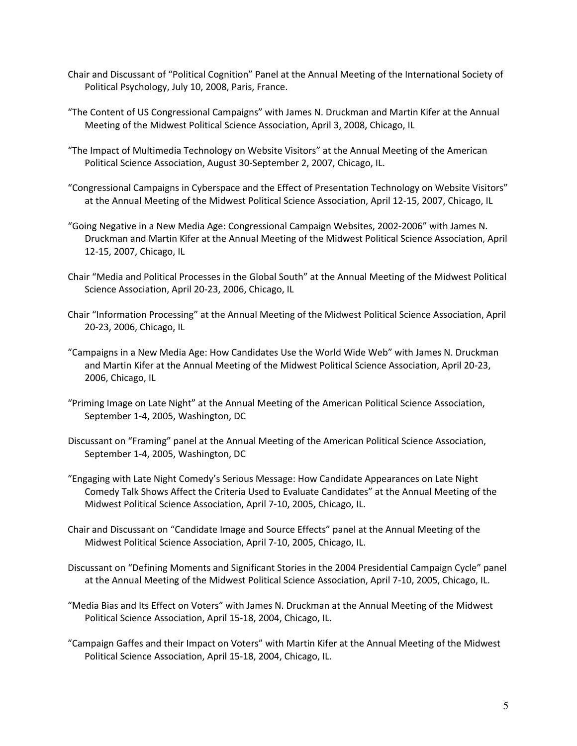- Chair and Discussant of "Political Cognition" Panel at the Annual Meeting of the International Society of Political Psychology, July 10, 2008, Paris, France.
- "The Content of US Congressional Campaigns" with James N. Druckman and Martin Kifer at the Annual Meeting of the Midwest Political Science Association, April 3, 2008, Chicago, IL
- "The Impact of Multimedia Technology on Website Visitors" at the Annual Meeting of the American Political Science Association, August 30-September 2, 2007, Chicago, IL.
- "Congressional Campaigns in Cyberspace and the Effect of Presentation Technology on Website Visitors" at the Annual Meeting of the Midwest Political Science Association, April 12-15, 2007, Chicago, IL
- "Going Negative in a New Media Age: Congressional Campaign Websites, 2002-2006" with James N. Druckman and Martin Kifer at the Annual Meeting of the Midwest Political Science Association, April 12-15, 2007, Chicago, IL
- Chair "Media and Political Processes in the Global South" at the Annual Meeting of the Midwest Political Science Association, April 20-23, 2006, Chicago, IL
- Chair "Information Processing" at the Annual Meeting of the Midwest Political Science Association, April 20-23, 2006, Chicago, IL
- "Campaigns in a New Media Age: How Candidates Use the World Wide Web" with James N. Druckman and Martin Kifer at the Annual Meeting of the Midwest Political Science Association, April 20-23, 2006, Chicago, IL
- "Priming Image on Late Night" at the Annual Meeting of the American Political Science Association, September 1-4, 2005, Washington, DC
- Discussant on "Framing" panel at the Annual Meeting of the American Political Science Association, September 1-4, 2005, Washington, DC
- "Engaging with Late Night Comedy's Serious Message: How Candidate Appearances on Late Night Comedy Talk Shows Affect the Criteria Used to Evaluate Candidates" at the Annual Meeting of the Midwest Political Science Association, April 7-10, 2005, Chicago, IL.
- Chair and Discussant on "Candidate Image and Source Effects" panel at the Annual Meeting of the Midwest Political Science Association, April 7-10, 2005, Chicago, IL.
- Discussant on "Defining Moments and Significant Stories in the 2004 Presidential Campaign Cycle" panel at the Annual Meeting of the Midwest Political Science Association, April 7-10, 2005, Chicago, IL.
- "Media Bias and Its Effect on Voters" with James N. Druckman at the Annual Meeting of the Midwest Political Science Association, April 15-18, 2004, Chicago, IL.
- "Campaign Gaffes and their Impact on Voters" with Martin Kifer at the Annual Meeting of the Midwest Political Science Association, April 15-18, 2004, Chicago, IL.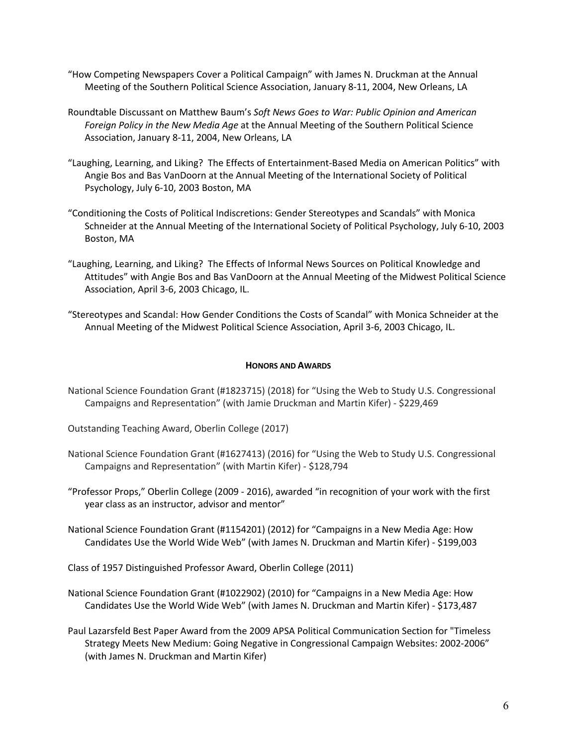- "How Competing Newspapers Cover a Political Campaign" with James N. Druckman at the Annual Meeting of the Southern Political Science Association, January 8-11, 2004, New Orleans, LA
- Roundtable Discussant on Matthew Baum's *Soft News Goes to War: Public Opinion and American Foreign Policy in the New Media Age* at the Annual Meeting of the Southern Political Science Association, January 8-11, 2004, New Orleans, LA
- "Laughing, Learning, and Liking? The Effects of Entertainment-Based Media on American Politics" with Angie Bos and Bas VanDoorn at the Annual Meeting of the International Society of Political Psychology, July 6-10, 2003 Boston, MA
- "Conditioning the Costs of Political Indiscretions: Gender Stereotypes and Scandals" with Monica Schneider at the Annual Meeting of the International Society of Political Psychology, July 6-10, 2003 Boston, MA
- "Laughing, Learning, and Liking? The Effects of Informal News Sources on Political Knowledge and Attitudes" with Angie Bos and Bas VanDoorn at the Annual Meeting of the Midwest Political Science Association, April 3-6, 2003 Chicago, IL.
- "Stereotypes and Scandal: How Gender Conditions the Costs of Scandal" with Monica Schneider at the Annual Meeting of the Midwest Political Science Association, April 3-6, 2003 Chicago, IL.

### **HONORS AND AWARDS**

National Science Foundation Grant (#1823715) (2018) for "Using the Web to Study U.S. Congressional Campaigns and Representation" (with Jamie Druckman and Martin Kifer) - \$229,469

Outstanding Teaching Award, Oberlin College (2017)

- National Science Foundation Grant (#1627413) (2016) for "Using the Web to Study U.S. Congressional Campaigns and Representation" (with Martin Kifer) - \$128,794
- "Professor Props," Oberlin College (2009 2016), awarded "in recognition of your work with the first year class as an instructor, advisor and mentor"
- National Science Foundation Grant (#1154201) (2012) for "Campaigns in a New Media Age: How Candidates Use the World Wide Web" (with James N. Druckman and Martin Kifer) - \$199,003
- Class of 1957 Distinguished Professor Award, Oberlin College (2011)
- National Science Foundation Grant (#1022902) (2010) for "Campaigns in a New Media Age: How Candidates Use the World Wide Web" (with James N. Druckman and Martin Kifer) - \$173,487
- Paul Lazarsfeld Best Paper Award from the 2009 APSA Political Communication Section for "Timeless Strategy Meets New Medium: Going Negative in Congressional Campaign Websites: 2002-2006" (with James N. Druckman and Martin Kifer)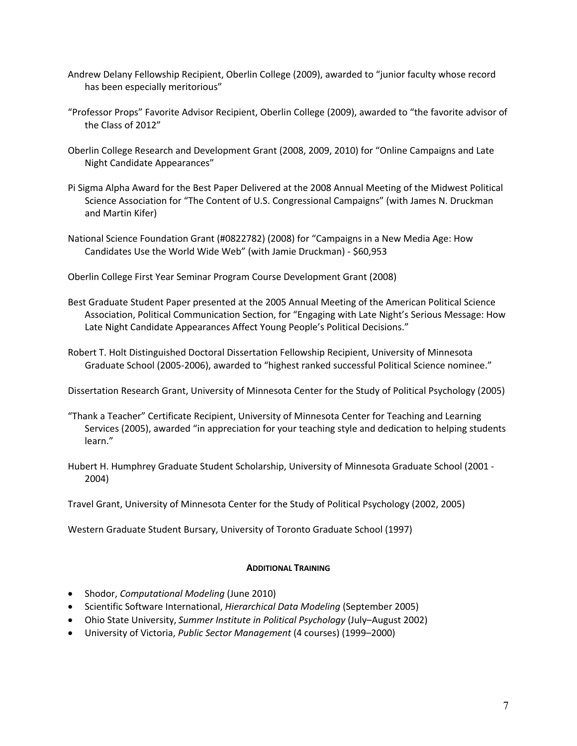- Andrew Delany Fellowship Recipient, Oberlin College (2009), awarded to "junior faculty whose record has been especially meritorious"
- "Professor Props" Favorite Advisor Recipient, Oberlin College (2009), awarded to "the favorite advisor of the Class of 2012"
- Oberlin College Research and Development Grant (2008, 2009, 2010) for "Online Campaigns and Late Night Candidate Appearances"
- Pi Sigma Alpha Award for the Best Paper Delivered at the 2008 Annual Meeting of the Midwest Political Science Association for "The Content of U.S. Congressional Campaigns" (with James N. Druckman and Martin Kifer)
- National Science Foundation Grant (#0822782) (2008) for "Campaigns in a New Media Age: How Candidates Use the World Wide Web" (with Jamie Druckman) - \$60,953

Oberlin College First Year Seminar Program Course Development Grant (2008)

Best Graduate Student Paper presented at the 2005 Annual Meeting of the American Political Science Association, Political Communication Section, for "Engaging with Late Night's Serious Message: How Late Night Candidate Appearances Affect Young People's Political Decisions."

Robert T. Holt Distinguished Doctoral Dissertation Fellowship Recipient, University of Minnesota Graduate School (2005-2006), awarded to "highest ranked successful Political Science nominee."

Dissertation Research Grant, University of Minnesota Center for the Study of Political Psychology (2005)

- "Thank a Teacher" Certificate Recipient, University of Minnesota Center for Teaching and Learning Services (2005), awarded "in appreciation for your teaching style and dedication to helping students learn."
- Hubert H. Humphrey Graduate Student Scholarship, University of Minnesota Graduate School (2001 2004)

Travel Grant, University of Minnesota Center for the Study of Political Psychology (2002, 2005)

Western Graduate Student Bursary, University of Toronto Graduate School (1997)

## **ADDITIONAL TRAINING**

- Shodor, *Computational Modeling* (June 2010)
- Scientific Software International, *Hierarchical Data Modeling* (September 2005)
- Ohio State University, *Summer Institute in Political Psychology* (July–August 2002)
- University of Victoria, *Public Sector Management* (4 courses) (1999–2000)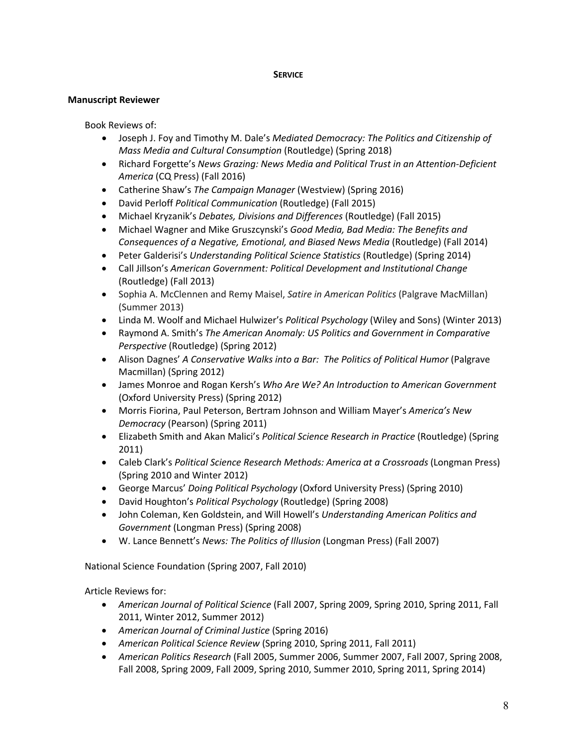## **SERVICE**

# **Manuscript Reviewer**

Book Reviews of:

- Joseph J. Foy and Timothy M. Dale's *Mediated Democracy: The Politics and Citizenship of Mass Media and Cultural Consumption* (Routledge) (Spring 2018)
- Richard Forgette's *News Grazing: News Media and Political Trust in an Attention-Deficient America* (CQ Press) (Fall 2016)
- Catherine Shaw's *The Campaign Manager* (Westview) (Spring 2016)
- David Perloff *Political Communication* (Routledge) (Fall 2015)
- Michael Kryzanik's *Debates, Divisions and Differences* (Routledge) (Fall 2015)
- Michael Wagner and Mike Gruszcynski's *Good Media, Bad Media: The Benefits and Consequences of a Negative, Emotional, and Biased News Media* (Routledge) (Fall 2014)
- Peter Galderisi's *Understanding Political Science Statistics* (Routledge) (Spring 2014)
- Call Jillson's *American Government: Political Development and Institutional Change*  (Routledge) (Fall 2013)
- Sophia A. McClennen and Remy Maisel, *Satire in American Politics* (Palgrave MacMillan) (Summer 2013)
- Linda M. Woolf and Michael Hulwizer's *Political Psychology* (Wiley and Sons) (Winter 2013)
- Raymond A. Smith's *The American Anomaly: US Politics and Government in Comparative Perspective* (Routledge) (Spring 2012)
- Alison Dagnes' *A Conservative Walks into a Bar: The Politics of Political Humor* (Palgrave Macmillan) (Spring 2012)
- James Monroe and Rogan Kersh's *Who Are We? An Introduction to American Government*  (Oxford University Press) (Spring 2012)
- Morris Fiorina, Paul Peterson, Bertram Johnson and William Mayer's *America's New Democracy* (Pearson) (Spring 2011)
- Elizabeth Smith and Akan Malici's *Political Science Research in Practice* (Routledge) (Spring 2011)
- Caleb Clark's *Political Science Research Methods: America at a Crossroads* (Longman Press) (Spring 2010 and Winter 2012)
- George Marcus' *Doing Political Psychology* (Oxford University Press) (Spring 2010)
- David Houghton's *Political Psychology* (Routledge) (Spring 2008)
- John Coleman, Ken Goldstein, and Will Howell's *Understanding American Politics and Government* (Longman Press) (Spring 2008)
- W. Lance Bennett's *News: The Politics of Illusion* (Longman Press) (Fall 2007)

National Science Foundation (Spring 2007, Fall 2010)

Article Reviews for:

- *American Journal of Political Science* (Fall 2007, Spring 2009, Spring 2010, Spring 2011, Fall 2011, Winter 2012, Summer 2012)
- *American Journal of Criminal Justice* (Spring 2016)
- *American Political Science Review* (Spring 2010, Spring 2011, Fall 2011)
- *American Politics Research* (Fall 2005, Summer 2006, Summer 2007, Fall 2007, Spring 2008, Fall 2008, Spring 2009, Fall 2009, Spring 2010, Summer 2010, Spring 2011, Spring 2014)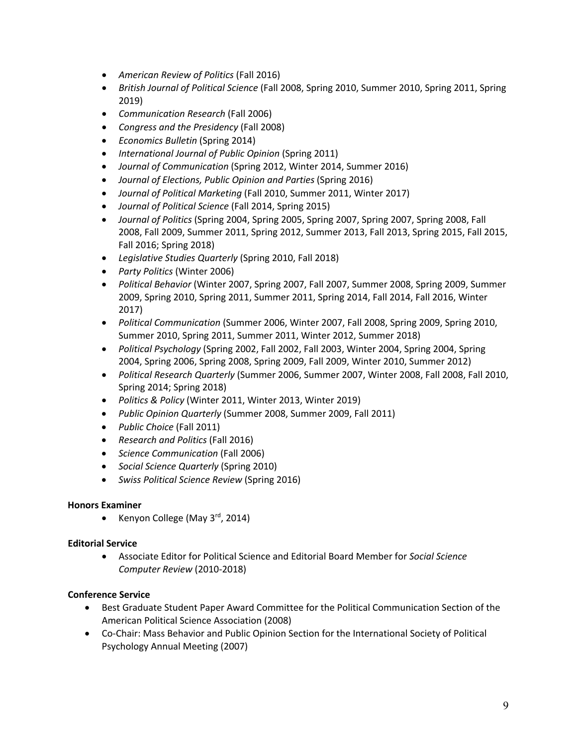- *American Review of Politics* (Fall 2016)
- *British Journal of Political Science* (Fall 2008, Spring 2010, Summer 2010, Spring 2011, Spring 2019)
- *Communication Research* (Fall 2006)
- *Congress and the Presidency* (Fall 2008)
- *Economics Bulletin* (Spring 2014)
- *International Journal of Public Opinion* (Spring 2011)
- *Journal of Communication* (Spring 2012, Winter 2014, Summer 2016)
- *Journal of Elections, Public Opinion and Parties* (Spring 2016)
- *Journal of Political Marketing* (Fall 2010, Summer 2011, Winter 2017)
- *Journal of Political Science* (Fall 2014, Spring 2015)
- *Journal of Politics* (Spring 2004, Spring 2005, Spring 2007, Spring 2007, Spring 2008, Fall 2008, Fall 2009, Summer 2011, Spring 2012, Summer 2013, Fall 2013, Spring 2015, Fall 2015, Fall 2016; Spring 2018)
- *Legislative Studies Quarterly* (Spring 2010, Fall 2018)
- *Party Politics* (Winter 2006)
- *Political Behavior* (Winter 2007, Spring 2007, Fall 2007, Summer 2008, Spring 2009, Summer 2009, Spring 2010, Spring 2011, Summer 2011, Spring 2014, Fall 2014, Fall 2016, Winter 2017)
- *Political Communication* (Summer 2006, Winter 2007, Fall 2008, Spring 2009, Spring 2010, Summer 2010, Spring 2011, Summer 2011, Winter 2012, Summer 2018)
- *Political Psychology* (Spring 2002, Fall 2002, Fall 2003, Winter 2004, Spring 2004, Spring 2004, Spring 2006, Spring 2008, Spring 2009, Fall 2009, Winter 2010, Summer 2012)
- *Political Research Quarterly* (Summer 2006, Summer 2007, Winter 2008, Fall 2008, Fall 2010, Spring 2014; Spring 2018)
- *Politics & Policy* (Winter 2011, Winter 2013, Winter 2019)
- *Public Opinion Quarterly* (Summer 2008, Summer 2009, Fall 2011)
- *Public Choice* (Fall 2011)
- *Research and Politics* (Fall 2016)
- *Science Communication* (Fall 2006)
- *Social Science Quarterly* (Spring 2010)
- *Swiss Political Science Review* (Spring 2016)

## **Honors Examiner**

• Kenyon College (May  $3^{\text{rd}}$ , 2014)

## **Editorial Service**

• Associate Editor for Political Science and Editorial Board Member for *Social Science Computer Review* (2010-2018)

## **Conference Service**

- Best Graduate Student Paper Award Committee for the Political Communication Section of the American Political Science Association (2008)
- Co-Chair: Mass Behavior and Public Opinion Section for the International Society of Political Psychology Annual Meeting (2007)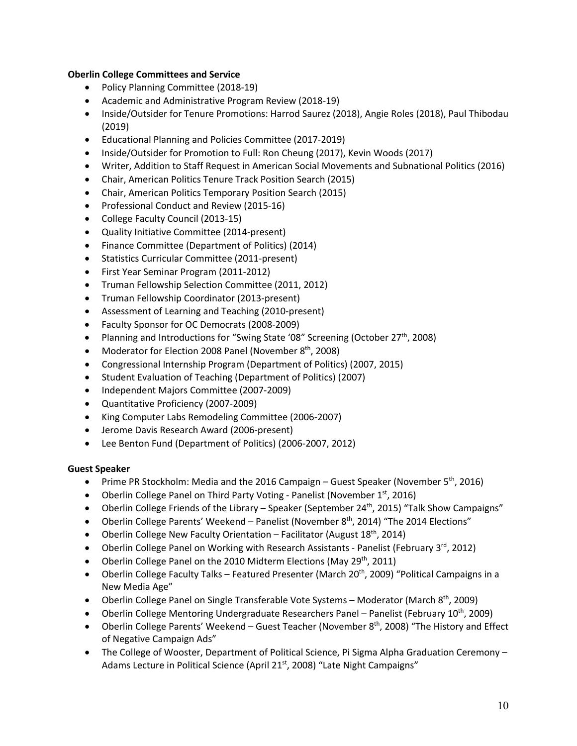# **Oberlin College Committees and Service**

- Policy Planning Committee (2018-19)
- Academic and Administrative Program Review (2018-19)
- Inside/Outsider for Tenure Promotions: Harrod Saurez (2018), Angie Roles (2018), Paul Thibodau (2019)
- Educational Planning and Policies Committee (2017-2019)
- Inside/Outsider for Promotion to Full: Ron Cheung (2017), Kevin Woods (2017)
- Writer, Addition to Staff Request in American Social Movements and Subnational Politics (2016)
- Chair, American Politics Tenure Track Position Search (2015)
- Chair, American Politics Temporary Position Search (2015)
- Professional Conduct and Review (2015-16)
- College Faculty Council (2013-15)
- Quality Initiative Committee (2014-present)
- Finance Committee (Department of Politics) (2014)
- Statistics Curricular Committee (2011-present)
- First Year Seminar Program (2011-2012)
- Truman Fellowship Selection Committee (2011, 2012)
- Truman Fellowship Coordinator (2013-present)
- Assessment of Learning and Teaching (2010-present)
- Faculty Sponsor for OC Democrats (2008-2009)
- Planning and Introductions for "Swing State '08" Screening (October  $27<sup>th</sup>$ , 2008)
- Moderator for Election 2008 Panel (November  $8<sup>th</sup>$ , 2008)
- Congressional Internship Program (Department of Politics) (2007, 2015)
- Student Evaluation of Teaching (Department of Politics) (2007)
- Independent Majors Committee (2007-2009)
- Quantitative Proficiency (2007-2009)
- King Computer Labs Remodeling Committee (2006-2007)
- Jerome Davis Research Award (2006-present)
- Lee Benton Fund (Department of Politics) (2006-2007, 2012)

# **Guest Speaker**

- Prime PR Stockholm: Media and the 2016 Campaign Guest Speaker (November 5<sup>th</sup>, 2016)
- Oberlin College Panel on Third Party Voting Panelist (November 1st, 2016)
- Oberlin College Friends of the Library Speaker (September 24<sup>th</sup>, 2015) "Talk Show Campaigns"
- Oberlin College Parents' Weekend Panelist (November 8<sup>th</sup>, 2014) "The 2014 Elections"
- Oberlin College New Faculty Orientation Facilitator (August  $18<sup>th</sup>$ , 2014)
- Oberlin College Panel on Working with Research Assistants Panelist (February  $3^{rd}$ , 2012)
- Oberlin College Panel on the 2010 Midterm Elections (May 29<sup>th</sup>, 2011)
- Oberlin College Faculty Talks Featured Presenter (March 20<sup>th</sup>, 2009) "Political Campaigns in a New Media Age"
- Oberlin College Panel on Single Transferable Vote Systems Moderator (March  $8^{th}$ , 2009)
- Oberlin College Mentoring Undergraduate Researchers Panel Panelist (February 10<sup>th</sup>, 2009)
- Oberlin College Parents' Weekend Guest Teacher (November 8<sup>th</sup>, 2008) "The History and Effect of Negative Campaign Ads"
- The College of Wooster, Department of Political Science, Pi Sigma Alpha Graduation Ceremony -Adams Lecture in Political Science (April 21<sup>st</sup>, 2008) "Late Night Campaigns"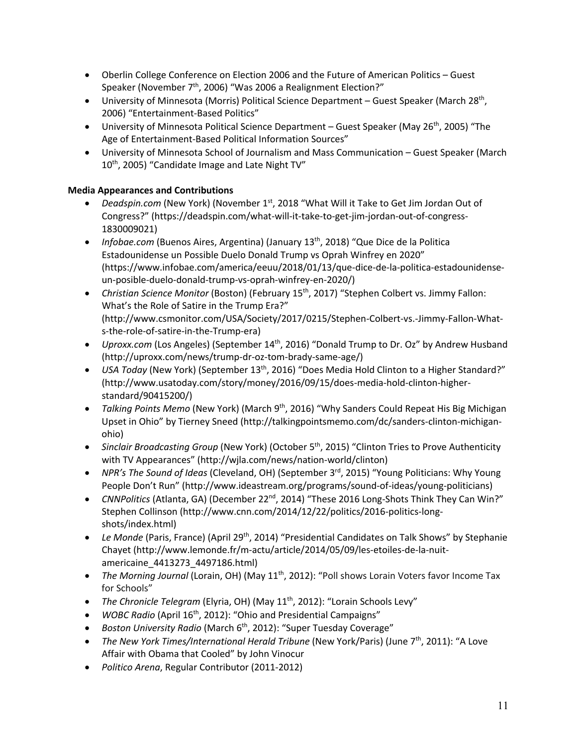- Oberlin College Conference on Election 2006 and the Future of American Politics Guest Speaker (November 7<sup>th</sup>, 2006) "Was 2006 a Realignment Election?"
- University of Minnesota (Morris) Political Science Department Guest Speaker (March 28<sup>th</sup>, 2006) "Entertainment-Based Politics"
- University of Minnesota Political Science Department Guest Speaker (May 26<sup>th</sup>, 2005) "The Age of Entertainment-Based Political Information Sources"
- University of Minnesota School of Journalism and Mass Communication Guest Speaker (March 10<sup>th</sup>, 2005) "Candidate Image and Late Night TV"

# **Media Appearances and Contributions**

- *[Deadspin.com](https://Deadspin.com)* (New York) (November 1<sup>st</sup>, 2018 "What Will it Take to Get Jim Jordan Out of Congress?" [\(https://deadspin.com/what-will-it-take-to-get-jim-jordan-out-of-congress-](https://deadspin.com/what-will-it-take-to-get-jim-jordan-out-of-congress)1830009021)
- *Infobae.com* (Buenos Aires, Argentina) (January 13<sup>th</sup>, 2018) "Que Dice de la Politica Estadounidense un Possible Duelo Donald Trump vs Oprah Winfrey en 2020" [\(https://www.infobae.com/america/eeuu/2018/01/13/que-dice-de-la-politica-estadounidense](https://www.infobae.com/america/eeuu/2018/01/13/que-dice-de-la-politica-estadounidense)un-posible-duelo-donald-trump-vs-oprah-winfrey-en-2020/)
- *Christian Science Monitor* (Boston) (February 15<sup>th</sup>, 2017) "Stephen Colbert vs. Jimmy Fallon: What's the Role of Satire in the Trump Era?" [\(http://www.csmonitor.com/USA/Society/2017/0215/Stephen-Colbert-vs.-Jimmy-Fallon-What](http://www.csmonitor.com/USA/Society/2017/0215/Stephen-Colbert-vs.-Jimmy-Fallon-What)s-the-role-of-satire-in-the-Trump-era)
- *[Uproxx.com](https://Uproxx.com)* (Los Angeles) (September 14<sup>th</sup>, 2016) "Donald Trump to Dr. Oz" by Andrew Husband [\(http://uproxx.com/news/trump-dr-oz-tom-brady-same-age/](http://uproxx.com/news/trump-dr-oz-tom-brady-same-age))
- *USA Today* (New York) (September 13<sup>th</sup>, 2016) "Does Media Hold Clinton to a Higher Standard?" [\(http://www.usatoday.com/story/money/2016/09/15/does-media-hold-clinton-higher](http://www.usatoday.com/story/money/2016/09/15/does-media-hold-clinton-higher)standard/90415200/)
- *Talking Points Memo* (New York) (March 9<sup>th</sup>, 2016) "Why Sanders Could Repeat His Big Michigan Upset in Ohio" by Tierney Sneed (<http://talkingpointsmemo.com/dc/sanders-clinton-michigan>ohio)
- *Sinclair Broadcasting Group* (New York) (October 5<sup>th</sup>, 2015) "Clinton Tries to Prove Authenticity with TV Appearances" (<http://wjla.com/news/nation-world/clinton>)
- *NPR's The Sound of Ideas* (Cleveland, OH) (September 3<sup>rd</sup>, 2015) "Young Politicians: Why Young People Don't Run" [\(http://www.ideastream.org/programs/sound-of-ideas/young-politicians\)](http://www.ideastream.org/programs/sound-of-ideas/young-politicians)
- *CNNPolitics* (Atlanta, GA) (December 22nd, 2014) "These 2016 Long-Shots Think They Can Win?" Stephen Collinson [\(http://www.cnn.com/2014/12/22/politics/2016-politics-long](http://www.cnn.com/2014/12/22/politics/2016-politics-long)shots/index.html)
- *Le Monde* (Paris, France) (April 29th, 2014) "Presidential Candidates on Talk Shows" by Stephanie Chayet (<http://www.lemonde.fr/m-actu/article/2014/05/09/les-etoiles-de-la-nuit>americaine\_4413273\_4497186.html)
- *The Morning Journal* (Lorain, OH) (May 11<sup>th</sup>, 2012): "Poll shows Lorain Voters favor Income Tax for Schools"
- *The Chronicle Telegram* (Elyria, OH) (May 11<sup>th</sup>, 2012): "Lorain Schools Levy"
- *WOBC Radio* (April 16<sup>th</sup>, 2012): "Ohio and Presidential Campaigns"
- *Boston University Radio* (March 6<sup>th</sup>, 2012): "Super Tuesday Coverage"
- *The New York Times/International Herald Tribune* (New York/Paris) (June 7<sup>th</sup>, 2011): "A Love Affair with Obama that Cooled" by John Vinocur
- *Politico Arena*, Regular Contributor (2011-2012)